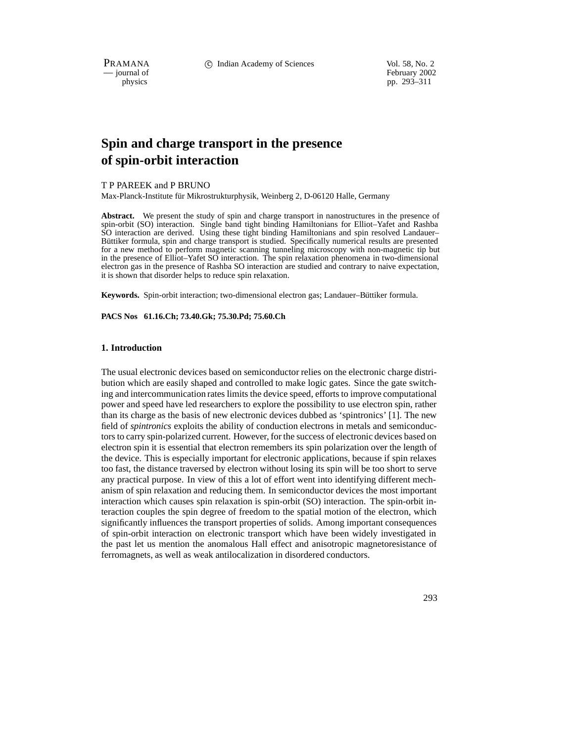PRAMANA 
<sup>C</sup> Indian Academy of Sciences Vol. 58, No. 2<br>
— iournal of February 2002

physics<br>
physics<br>
pp. 293–311 pp. 293–311

# **Spin and charge transport in the presence of spin-orbit interaction**

#### T P PAREEK and P BRUNO

Max-Planck-Institute für Mikrostrukturphysik, Weinberg 2, D-06120 Halle, Germany

Abstract. We present the study of spin and charge transport in nanostructures in the presence of spin-orbit (SO) interaction. Single band tight binding Hamiltonians for Elliot–Yafet and Rashba SO interaction are derived. Using these tight binding Hamiltonians and spin resolved Landauer– Büttiker formula, spin and charge transport is studied. Specifically numerical results are presented for a new method to perform magnetic scanning tunneling microscopy with non-magnetic tip but in the presence of Elliot–Yafet SO interaction. The spin relaxation phenomena in two-dimensional electron gas in the presence of Rashba SO interaction are studied and contrary to naive expectation, it is shown that disorder helps to reduce spin relaxation.

Keywords. Spin-orbit interaction; two-dimensional electron gas; Landauer–Büttiker formula.

**PACS Nos 61.16.Ch; 73.40.Gk; 75.30.Pd; 75.60.Ch**

#### **1. Introduction**

The usual electronic devices based on semiconductor relies on the electronic charge distribution which are easily shaped and controlled to make logic gates. Since the gate switching and intercommunication rates limits the device speed, efforts to improve computational power and speed have led researchers to explore the possibility to use electron spin, rather than its charge as the basis of new electronic devices dubbed as 'spintronics' [1]. The new field of *spintronics* exploits the ability of conduction electrons in metals and semiconductors to carry spin-polarized current. However, for the success of electronic devices based on electron spin it is essential that electron remembers its spin polarization over the length of the device. This is especially important for electronic applications, because if spin relaxes too fast, the distance traversed by electron without losing its spin will be too short to serve any practical purpose. In view of this a lot of effort went into identifying different mechanism of spin relaxation and reducing them. In semiconductor devices the most important interaction which causes spin relaxation is spin-orbit (SO) interaction. The spin-orbit interaction couples the spin degree of freedom to the spatial motion of the electron, which significantly influences the transport properties of solids. Among important consequences of spin-orbit interaction on electronic transport which have been widely investigated in the past let us mention the anomalous Hall effect and anisotropic magnetoresistance of ferromagnets, as well as weak antilocalization in disordered conductors.

293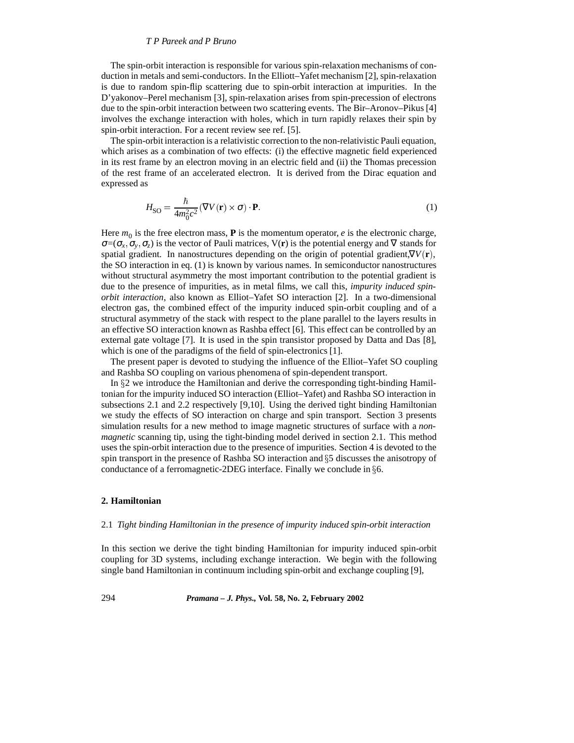The spin-orbit interaction is responsible for various spin-relaxation mechanisms of conduction in metals and semi-conductors. In the Elliott–Yafet mechanism [2], spin-relaxation is due to random spin-flip scattering due to spin-orbit interaction at impurities. In the D'yakonov–Perel mechanism [3], spin-relaxation arises from spin-precession of electrons due to the spin-orbit interaction between two scattering events. The Bir–Aronov–Pikus [4] involves the exchange interaction with holes, which in turn rapidly relaxes their spin by spin-orbit interaction. For a recent review see ref. [5].

The spin-orbit interaction is a relativistic correction to the non-relativistic Pauli equation, which arises as a combination of two effects: (i) the effective magnetic field experienced in its rest frame by an electron moving in an electric field and (ii) the Thomas precession of the rest frame of an accelerated electron. It is derived from the Dirac equation and expressed as

$$
H_{\rm SO} = \frac{\hbar}{4m_0^2 c^2} (\nabla V(\mathbf{r}) \times \boldsymbol{\sigma}) \cdot \mathbf{P}.
$$
 (1)

Here  $m_0$  is the free electron mass, **P** is the momentum operator, *e* is the electronic charge,  $\sigma = (\sigma_x, \sigma_y, \sigma_z)$  is the vector of Pauli matrices,  $V(\mathbf{r})$  is the potential energy and  $\nabla$  stands for spatial gradient. In nanostructures depending on the origin of potential gradient, $\nabla V(\mathbf{r})$ , the SO interaction in eq. (1) is known by various names. In semiconductor nanostructures without structural asymmetry the most important contribution to the potential gradient is due to the presence of impurities, as in metal films, we call this, *impurity induced spinorbit interaction*, also known as Elliot–Yafet SO interaction [2]. In a two-dimensional electron gas, the combined effect of the impurity induced spin-orbit coupling and of a structural asymmetry of the stack with respect to the plane parallel to the layers results in an effective SO interaction known as Rashba effect [6]. This effect can be controlled by an external gate voltage [7]. It is used in the spin transistor proposed by Datta and Das [8], which is one of the paradigms of the field of spin-electronics [1].

The present paper is devoted to studying the influence of the Elliot–Yafet SO coupling and Rashba SO coupling on various phenomena of spin-dependent transport.

In  $\S2$  we introduce the Hamiltonian and derive the corresponding tight-binding Hamiltonian for the impurity induced SO interaction (Elliot–Yafet) and Rashba SO interaction in subsections 2.1 and 2.2 respectively [9,10]. Using the derived tight binding Hamiltonian we study the effects of SO interaction on charge and spin transport. Section 3 presents simulation results for a new method to image magnetic structures of surface with a *nonmagnetic* scanning tip, using the tight-binding model derived in section 2.1. This method uses the spin-orbit interaction due to the presence of impurities. Section 4 is devoted to the spin transport in the presence of Rashba SO interaction and  $\S 5$  discusses the anisotropy of conductance of a ferromagnetic-2DEG interface. Finally we conclude in  $\S6$ .

# **2. Hamiltonian**

#### 2.1 *Tight binding Hamiltonian in the presence of impurity induced spin-orbit interaction*

In this section we derive the tight binding Hamiltonian for impurity induced spin-orbit coupling for 3D systems, including exchange interaction. We begin with the following single band Hamiltonian in continuum including spin-orbit and exchange coupling [9],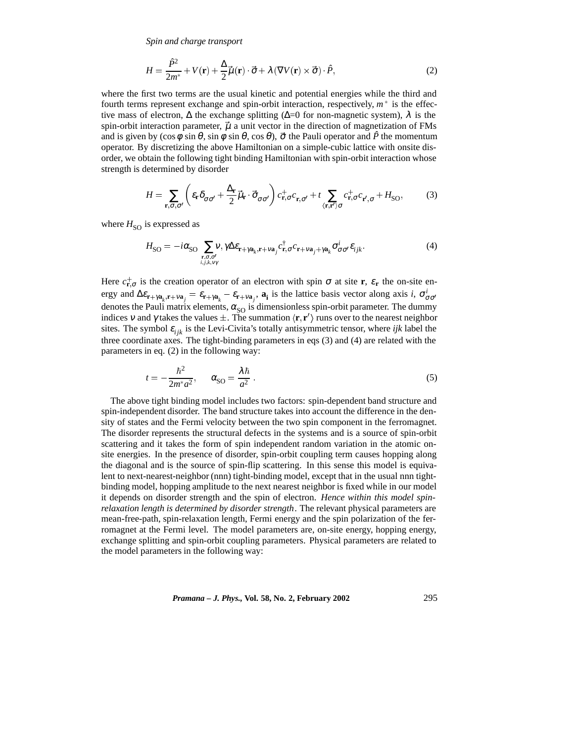$$
H = \frac{\hat{P}^2}{2m^*} + V(\mathbf{r}) + \frac{\Delta}{2}\vec{\mu}(\mathbf{r}) \cdot \vec{\sigma} + \lambda(\nabla V(\mathbf{r}) \times \vec{\sigma}) \cdot \hat{P},\tag{2}
$$

where the first two terms are the usual kinetic and potential energies while the third and fourth terms represent exchange and spin-orbit interaction, respectively,  $m^*$  is the effective mass of electron,  $\Delta$  the exchange splitting ( $\Delta=0$  for non-magnetic system),  $\lambda$  is the spin-orbit interaction parameter,  $\vec{\mu}$  a unit vector in the direction of magnetization of FMs and is given by  $(\cos \phi \sin \theta, \sin \phi \sin \theta, \cos \theta)$ ,  $\vec{\sigma}$  the Pauli operator and  $\hat{P}$  the momentum operator. By discretizing the above Hamiltonian on a simple-cubic lattice with onsite disorder, we obtain the following tight binding Hamiltonian with spin-orbit interaction whose strength is determined by disorder

$$
H = \sum_{\mathbf{r},\sigma,\sigma'} \left( \varepsilon_{\mathbf{r}} \delta_{\sigma \sigma'} + \frac{\Delta_{\mathbf{r}}}{2} \vec{\mu}_{\mathbf{r}} \cdot \vec{\sigma}_{\sigma \sigma'} \right) c_{\mathbf{r},\sigma}^{+} c_{\mathbf{r},\sigma'} + t \sum_{\langle \mathbf{r},\mathbf{r'} \rangle \sigma} c_{\mathbf{r},\sigma}^{+} c_{\mathbf{r'},\sigma} + H_{\text{SO}}, \tag{3}
$$

where  $H_{\rm SO}$  is expressed as

$$
H_{\rm SO} = -i\alpha_{\rm SO} \sum_{\substack{\mathbf{r}, \sigma, \sigma'\\i,j,k,\nu\gamma}} \mathbf{V}, \gamma \Delta \varepsilon_{\mathbf{r} + \gamma \mathbf{a}_k, \mathbf{r} + \nu \mathbf{a}_j} c_{\mathbf{r}, \sigma}^{\dagger} c_{\mathbf{r} + \nu \mathbf{a}_j + \gamma \mathbf{a}_k} \sigma_{\sigma \sigma'}^i \varepsilon_{ijk}.
$$
 (4)

Here  $c_{\mathbf{r},\sigma}^+$  is the creation operator of an electron with spin  $\sigma$  at site  $\mathbf{r}, \varepsilon_{\mathbf{r}}$  the on-site energy and  $\Delta \varepsilon_{\mathbf{r}+\gamma \mathbf{a}_k, \mathbf{r}+\gamma \mathbf{a}_j} = \varepsilon_{\mathbf{r}+\gamma \mathbf{a}_k} - \varepsilon_{\mathbf{r}+\gamma \mathbf{a}_j}$ ,  $\mathbf{a}_i$  is the lattice basis vector along axis *i*,  $\sigma_{\sigma\sigma'}^i$ denotes the Pauli matrix elements,  $\alpha_{SO}$  is dimensionless spin-orbit parameter. The dummy indices v and  $\gamma$  takes the values  $\pm$ . The summation  $\langle \mathbf{r}, \mathbf{r}' \rangle$  runs over to the nearest neighbor sites. The symbol  $\varepsilon_{ijk}$  is the Levi-Civita's totally antisymmetric tensor, where *ijk* label the three coordinate axes. The tight-binding parameters in eqs (3) and (4) are related with the parameters in eq. (2) in the following way:

$$
t = -\frac{\hbar^2}{2m^*a^2}, \qquad \alpha_{\text{SO}} = \frac{\lambda \hbar}{a^2} \,. \tag{5}
$$

The above tight binding model includes two factors: spin-dependent band structure and spin-independent disorder. The band structure takes into account the difference in the density of states and the Fermi velocity between the two spin component in the ferromagnet. The disorder represents the structural defects in the systems and is a source of spin-orbit scattering and it takes the form of spin independent random variation in the atomic onsite energies. In the presence of disorder, spin-orbit coupling term causes hopping along the diagonal and is the source of spin-flip scattering. In this sense this model is equivalent to next-nearest-neighbor (nnn) tight-binding model, except that in the usual nnn tightbinding model, hopping amplitude to the next nearest neighbor is fixed while in our model it depends on disorder strength and the spin of electron. *Hence within this model spinrelaxation length is determined by disorder strength*. The relevant physical parameters are mean-free-path, spin-relaxation length, Fermi energy and the spin polarization of the ferromagnet at the Fermi level. The model parameters are, on-site energy, hopping energy, exchange splitting and spin-orbit coupling parameters. Physical parameters are related to the model parameters in the following way: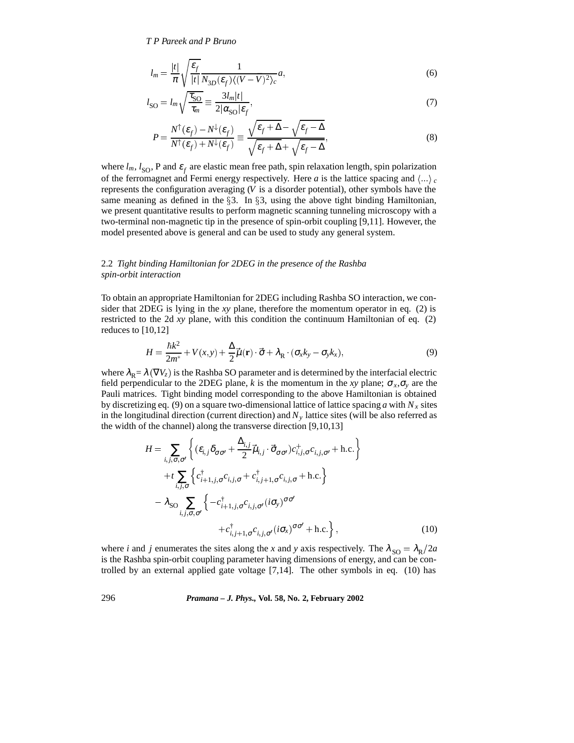$$
l_m = \frac{|t|}{\pi} \sqrt{\frac{\varepsilon_f}{|t|}} \frac{1}{N_{3D}(\varepsilon_f) \langle (V - \bar{V})^2 \rangle_c} a,
$$
\n
$$
(6)
$$

$$
l_{\rm SO} = l_m \sqrt{\frac{\tau_{\rm SO}}{\tau_m}} \equiv \frac{3l_m|t|}{2|\alpha_{\rm SO}| \epsilon_f},\tag{7}
$$

$$
P = \frac{N^{\dagger}(\varepsilon_f) - N^{\dagger}(\varepsilon_f)}{N^{\dagger}(\varepsilon_f) + N^{\dagger}(\varepsilon_f)} \equiv \frac{\sqrt{\varepsilon_f + \Delta} - \sqrt{\varepsilon_f - \Delta}}{\sqrt{\varepsilon_f + \Delta} + \sqrt{\varepsilon_f - \Delta}},
$$
\n(8)

where  $l_m$ ,  $l_{\text{SO}}$ , P and  $\varepsilon_f$  are elastic mean free path, spin relaxation length, spin polarization of the ferromagnet and Fermi energy respectively. Here *a* is the lattice spacing and  $\langle ... \rangle_c$ represents the configuration averaging (*V* is a disorder potential), other symbols have the same meaning as defined in the  $\S3$ . In  $\S3$ , using the above tight binding Hamiltonian, we present quantitative results to perform magnetic scanning tunneling microscopy with a two-terminal non-magnetic tip in the presence of spin-orbit coupling [9,11]. However, the model presented above is general and can be used to study any general system.

# 2.2 *Tight binding Hamiltonian for 2DEG in the presence of the Rashba spin-orbit interaction*

To obtain an appropriate Hamiltonian for 2DEG including Rashba SO interaction, we consider that 2DEG is lying in the *xy* plane, therefore the momentum operator in eq. (2) is restricted to the 2d *xy* plane, with this condition the continuum Hamiltonian of eq. (2) reduces to [10,12]

$$
H = \frac{\hbar k^2}{2m^*} + V(x, y) + \frac{\Delta}{2}\vec{\mu}(\mathbf{r}) \cdot \vec{\sigma} + \lambda_{\mathbf{R}} \cdot (\sigma_x k_y - \sigma_y k_x), \tag{9}
$$

where  $\lambda_{\mathbf{R}} = \lambda (\nabla V_z)$  is the Rashba SO parameter and is determined by the interfacial electric field perpendicular to the 2DEG plane, *k* is the momentum in the *xy* plane;  $\sigma_x$ ,  $\sigma_y$  are the Pauli matrices. Tight binding model corresponding to the above Hamiltonian is obtained by discretizing eq. (9) on a square two-dimensional lattice of lattice spacing *a* with  $N_x$  sites in the longitudinal direction (current direction) and  $N<sub>y</sub>$  lattice sites (will be also referred as the width of the channel) along the transverse direction [9,10,13]

$$
H = \sum_{i,j,\sigma,\sigma'} \left\{ (\varepsilon_{i,j}\delta_{\sigma\sigma'} + \frac{\Delta_{i,j}}{2}\vec{\mu}_{i,j} \cdot \vec{\sigma}_{\sigma\sigma'}) c_{i,j,\sigma}^+ c_{i,j,\sigma'} + \text{h.c.} \right\}
$$
  
+
$$
t \sum_{i,j,\sigma} \left\{ c_{i+1,j,\sigma}^{\dagger} c_{i,j,\sigma} + c_{i,j+1,\sigma}^{\dagger} c_{i,j,\sigma} + \text{h.c.} \right\}
$$
  
- 
$$
\lambda_{\text{SO}} \sum_{i,j,\sigma,\sigma'} \left\{ -c_{i+1,j,\sigma}^{\dagger} c_{i,j,\sigma'} (i\sigma_y)^{\sigma\sigma'} + \text{h.c.} \right\},
$$
 (10)

where *i* and *j* enumerates the sites along the *x* and *y* axis respectively. The  $\lambda_{SO} = \lambda_{R}/2a$ is the Rashba spin-orbit coupling parameter having dimensions of energy, and can be controlled by an external applied gate voltage [7,14]. The other symbols in eq. (10) has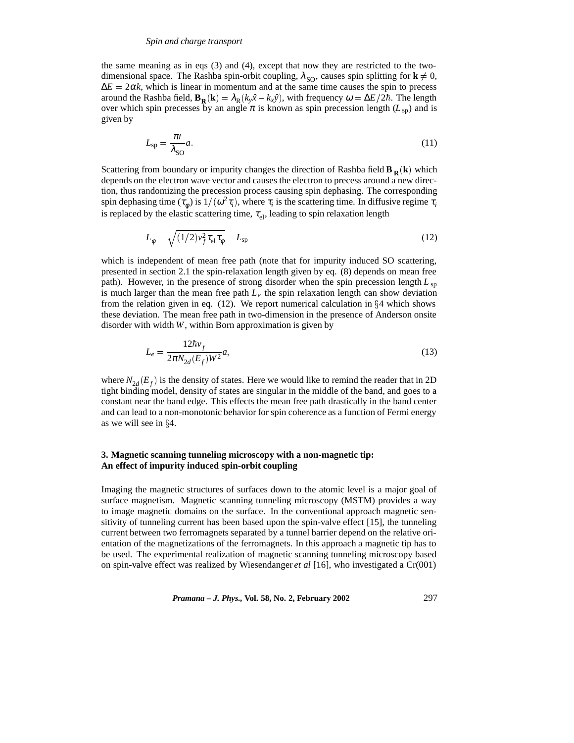the same meaning as in eqs (3) and (4), except that now they are restricted to the twodimensional space. The Rashba spin-orbit coupling,  $\lambda_{\text{SO}}$ , causes spin splitting for  $\mathbf{k} \neq 0$ ,  $\Delta E = 2\alpha k$ , which is linear in momentum and at the same time causes the spin to precess around the Rashba field,  $\mathbf{B_R}(\mathbf{k}) = \lambda_R(k_y \hat{x} - k_x \hat{y})$ , with frequency  $\omega = \Delta E/2\hbar$ . The length over which spin precesses by an angle  $\pi$  is known as spin precession length ( $L_{sp}$ ) and is given by

$$
L_{\rm sp} = \frac{\pi t}{\lambda_{\rm SO}} a. \tag{11}
$$

Scattering from boundary or impurity changes the direction of Rashba field  $\mathbf{B}_{\mathbf{R}}(\mathbf{k})$  which depends on the electron wave vector and causes the electron to precess around a new direction, thus randomizing the precession process causing spin dephasing. The corresponding spin dephasing time ( $\tau_a$ ) is  $1/(\omega^2 \tau_i)$ , where  $\tau_i$  is the scattering time. In diffusive regime  $\tau_i$ is replaced by the elastic scattering time,  $\tau_{el}$ , leading to spin relaxation length

$$
L_{\phi} = \sqrt{(1/2)v_f^2 \tau_{\rm el} \tau_{\phi}} = L_{\rm sp} \tag{12}
$$

which is independent of mean free path (note that for impurity induced SO scattering, presented in section 2.1 the spin-relaxation length given by eq. (8) depends on mean free path). However, in the presence of strong disorder when the spin precession length  $L_{sp}$ is much larger than the mean free path  $L_e$  the spin relaxation length can show deviation from the relation given in eq. (12). We report numerical calculation in  $\S 4$  which shows these deviation. The mean free path in two-dimension in the presence of Anderson onsite disorder with width *W*, within Born approximation is given by

$$
L_e = \frac{12\hbar v_f}{2\pi N_{2d}(E_f)W^2}a,
$$
\n(13)

where  $N_{2d}(E_f)$  is the density of states. Here we would like to remind the reader that in 2D tight binding model, density of states are singular in the middle of the band, and goes to a constant near the band edge. This effects the mean free path drastically in the band center and can lead to a non-monotonic behavior for spin coherence as a function of Fermi energy as we will see in  $\S 4$ .

#### **3. Magnetic scanning tunneling microscopy with a non-magnetic tip: An effect of impurity induced spin-orbit coupling**

Imaging the magnetic structures of surfaces down to the atomic level is a major goal of surface magnetism. Magnetic scanning tunneling microscopy (MSTM) provides a way to image magnetic domains on the surface. In the conventional approach magnetic sensitivity of tunneling current has been based upon the spin-valve effect [15], the tunneling current between two ferromagnets separated by a tunnel barrier depend on the relative orientation of the magnetizations of the ferromagnets. In this approach a magnetic tip has to be used. The experimental realization of magnetic scanning tunneling microscopy based on spin-valve effect was realized by Wiesendanger *et al* [16], who investigated a Cr(001)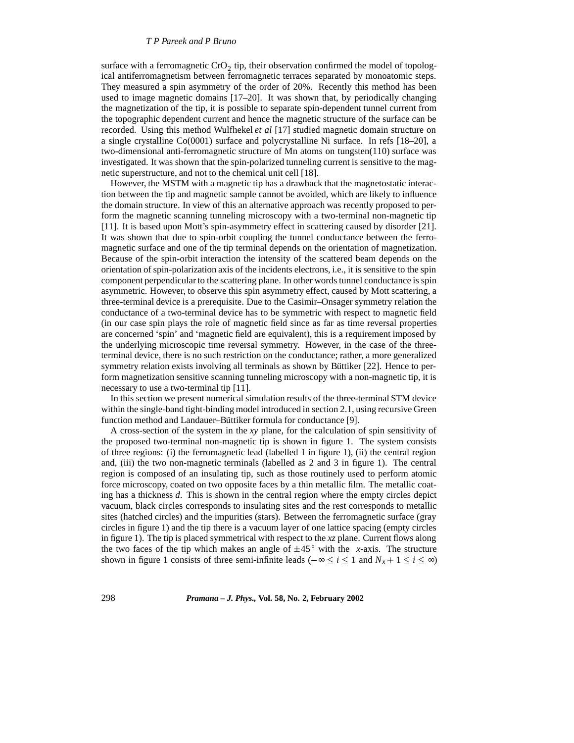surface with a ferromagnetic  $CrO<sub>2</sub>$  tip, their observation confirmed the model of topological antiferromagnetism between ferromagnetic terraces separated by monoatomic steps. They measured a spin asymmetry of the order of 20%. Recently this method has been used to image magnetic domains [17–20]. It was shown that, by periodically changing the magnetization of the tip, it is possible to separate spin-dependent tunnel current from the topographic dependent current and hence the magnetic structure of the surface can be recorded. Using this method Wulfhekel *et al* [17] studied magnetic domain structure on a single crystalline Co(0001) surface and polycrystalline Ni surface. In refs [18–20], a two-dimensional anti-ferromagnetic structure of Mn atoms on tungsten(110) surface was investigated. It was shown that the spin-polarized tunneling current is sensitive to the magnetic superstructure, and not to the chemical unit cell [18].

However, the MSTM with a magnetic tip has a drawback that the magnetostatic interaction between the tip and magnetic sample cannot be avoided, which are likely to influence the domain structure. In view of this an alternative approach was recently proposed to perform the magnetic scanning tunneling microscopy with a two-terminal non-magnetic tip [11]. It is based upon Mott's spin-asymmetry effect in scattering caused by disorder [21]. It was shown that due to spin-orbit coupling the tunnel conductance between the ferromagnetic surface and one of the tip terminal depends on the orientation of magnetization. Because of the spin-orbit interaction the intensity of the scattered beam depends on the orientation of spin-polarization axis of the incidents electrons, i.e., it is sensitive to the spin component perpendicular to the scattering plane. In other words tunnel conductance is spin asymmetric. However, to observe this spin asymmetry effect, caused by Mott scattering, a three-terminal device is a prerequisite. Due to the Casimir–Onsager symmetry relation the conductance of a two-terminal device has to be symmetric with respect to magnetic field (in our case spin plays the role of magnetic field since as far as time reversal properties are concerned 'spin' and 'magnetic field are equivalent), this is a requirement imposed by the underlying microscopic time reversal symmetry. However, in the case of the threeterminal device, there is no such restriction on the conductance; rather, a more generalized symmetry relation exists involving all terminals as shown by Büttiker [22]. Hence to perform magnetization sensitive scanning tunneling microscopy with a non-magnetic tip, it is necessary to use a two-terminal tip [11].

In this section we present numerical simulation results of the three-terminal STM device within the single-band tight-binding model introduced in section 2.1, using recursive Green function method and Landauer–Büttiker formula for conductance [9].

A cross-section of the system in the *xy* plane, for the calculation of spin sensitivity of the proposed two-terminal non-magnetic tip is shown in figure 1. The system consists of three regions: (i) the ferromagnetic lead (labelled 1 in figure 1), (ii) the central region and, (iii) the two non-magnetic terminals (labelled as 2 and 3 in figure 1). The central region is composed of an insulating tip, such as those routinely used to perform atomic force microscopy, coated on two opposite faces by a thin metallic film. The metallic coating has a thickness *d*. This is shown in the central region where the empty circles depict vacuum, black circles corresponds to insulating sites and the rest corresponds to metallic sites (hatched circles) and the impurities (stars). Between the ferromagnetic surface (gray circles in figure 1) and the tip there is a vacuum layer of one lattice spacing (empty circles in figure 1). The tip is placed symmetrical with respect to the *xz* plane. Current flows along the two faces of the tip which makes an angle of  $\pm 45^{\circ}$  with the *x*-axis. The structure shown in figure 1 consists of three semi-infinite leads ( $-\infty \le i \le 1$  and  $N_x + 1 \le i \le \infty$ )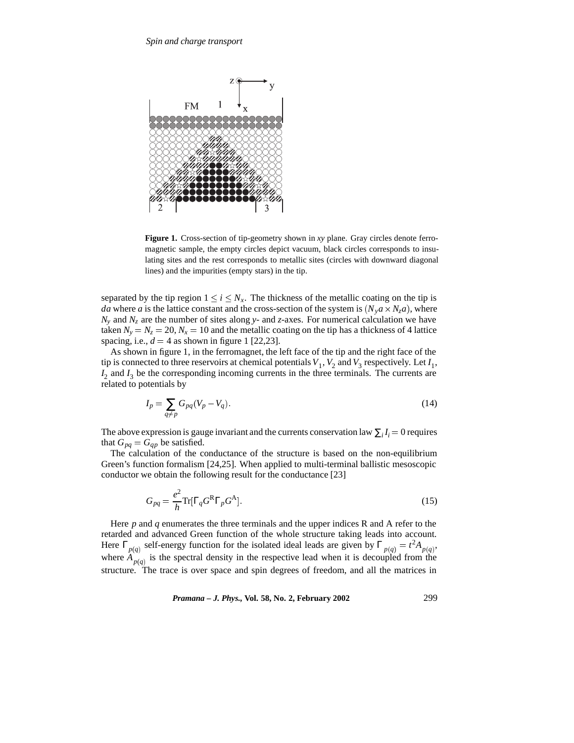

**Figure 1.** Cross-section of tip-geometry shown in *xy* plane. Gray circles denote ferromagnetic sample, the empty circles depict vacuum, black circles corresponds to insulating sites and the rest corresponds to metallic sites (circles with downward diagonal lines) and the impurities (empty stars) in the tip.

separated by the tip region  $1 \le i \le N_x$ . The thickness of the metallic coating on the tip is *da* where *a* is the lattice constant and the cross-section of the system is  $(N_y a \times N_z a)$ , where  $N_y$  and  $N_z$  are the number of sites along *y*- and *z*-axes. For numerical calculation we have taken  $N_v = N_z = 20$ ,  $N_x = 10$  and the metallic coating on the tip has a thickness of 4 lattice spacing, i.e.,  $d = 4$  as shown in figure 1 [22,23].

As shown in figure 1, in the ferromagnet, the left face of the tip and the right face of the tip is connected to three reservoirs at chemical potentials  $V_1$ ,  $V_2$  and  $V_3$  respectively. Let  $I_1$ ,  $I_2$  and  $I_3$  be the corresponding incoming currents in the three terminals. The currents are related to potentials by

$$
I_p = \sum_{q \neq p} G_{pq} (V_p - V_q). \tag{14}
$$

The above expression is gauge invariant and the currents conservation law  $\sum_i I_i = 0$  requires that  $G_{pq} = G_{qp}$  be satisfied.

The calculation of the conductance of the structure is based on the non-equilibrium Green's function formalism [24,25]. When applied to multi-terminal ballistic mesoscopic conductor we obtain the following result for the conductance [23]

$$
G_{pq} = \frac{e^2}{h} \text{Tr}[\Gamma_q G^R \Gamma_p G^A].
$$
\n(15)

Here *p* and *q* enumerates the three terminals and the upper indices R and A refer to the retarded and advanced Green function of the whole structure taking leads into account. Here  $\Gamma_{p(q)}$  self-energy function for the isolated ideal leads are given by  $\Gamma_{p(q)} = t^2 A_{p(q)}$ , where  $A_{p(q)}$  is the spectral density in the respective lead when it is decoupled from the structure. The trace is over space and spin degrees of freedom, and all the matrices in

*Pramana – J. Phys.,* **Vol. 58, No. 2, February 2002** 299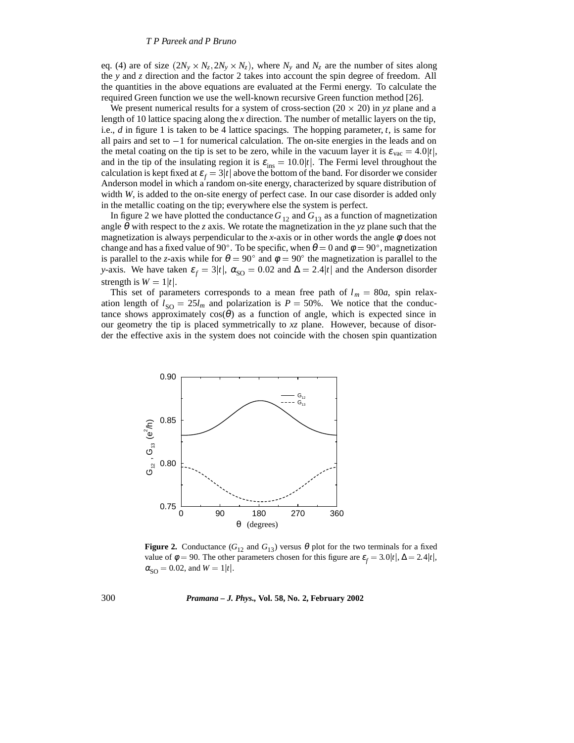eq. (4) are of size  $(2N_y \times N_z, 2N_y \times N_z)$ , where  $N_y$  and  $N_z$  are the number of sites along the *y* and *z* direction and the factor 2 takes into account the spin degree of freedom. All the quantities in the above equations are evaluated at the Fermi energy. To calculate the required Green function we use the well-known recursive Green function method [26].

We present numerical results for a system of cross-section  $(20 \times 20)$  in *yz* plane and a length of 10 lattice spacing along the *x* direction. The number of metallic layers on the tip, i.e.,  $d$  in figure 1 is taken to be 4 lattice spacings. The hopping parameter,  $t$ , is same for all pairs and set to  $-1$  for numerical calculation. The on-site energies in the leads and on the metal coating on the tip is set to be zero, while in the vacuum layer it is  $\varepsilon_{\text{vac}} = 4.0|t|$ , and in the tip of the insulating region it is  $\varepsilon_{\text{ins}} = 10.0|t|$ . The Fermi level throughout the calculation is kept fixed at  $\varepsilon_f = 3|t|$  above the bottom of the band. For disorder we consider Anderson model in which a random on-site energy, characterized by square distribution of width *W*, is added to the on-site energy of perfect case. In our case disorder is added only in the metallic coating on the tip; everywhere else the system is perfect.

In figure 2 we have plotted the conductance  $G_{12}$  and  $G_{13}$  as a function of magnetization angle  $\theta$  with respect to the *z* axis. We rotate the magnetization in the *yz* plane such that the magnetization is always perpendicular to the *x*-axis or in other words the angle  $\phi$  does not change and has a fixed value of 90°. To be specific, when  $\theta = 0$  and  $\phi = 90^\circ$ , magnetization is parallel to the *z*-axis while for  $\theta = 90^{\circ}$  and  $\phi = 90^{\circ}$  the magnetization is parallel to the *y*-axis. We have taken  $\varepsilon_f = 3|t|$ ,  $\alpha_{SO} = 0.02$  and  $\Delta = 2.4|t|$  and the Anderson disorder strength is  $W = 1|t|$ .

This set of parameters corresponds to a mean free path of  $l_m = 80a$ , spin relaxation length of  $l_{\text{SO}} = 25l_m$  and polarization is  $P = 50\%$ . We notice that the conductance shows approximately  $cos(\theta)$  as a function of angle, which is expected since in our geometry the tip is placed symmetrically to *xz* plane. However, because of disorder the effective axis in the system does not coincide with the chosen spin quantization



**Figure 2.** Conductance ( $G_{12}$  and  $G_{13}$ ) versus  $\theta$  plot for the two terminals for a fixed value of  $\phi = 90$ . The other parameters chosen for this figure are  $\varepsilon_f = 3.0|t|$ ,  $\Delta = 2.4|t|$ ,  $\alpha_{\rm SO} = 0.02$ , and  $W = 1 |t|$ .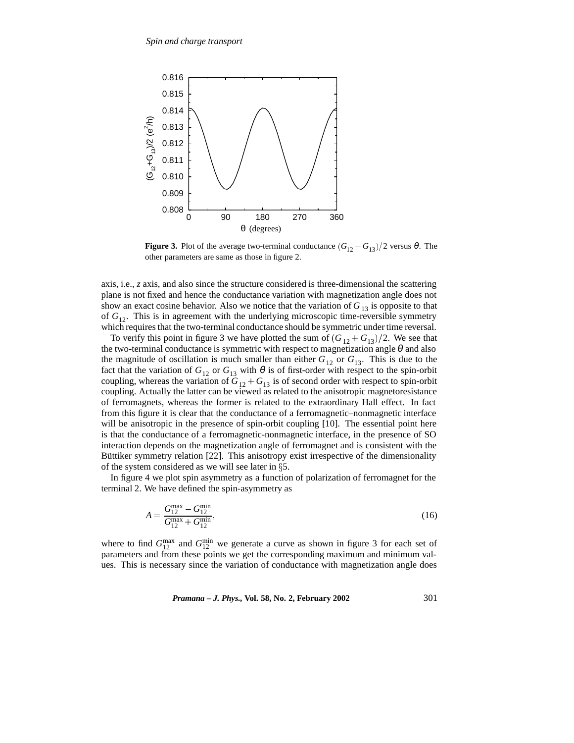

**Figure 3.** Plot of the average two-terminal conductance  $(G_{12} + G_{13})/2$  versus  $\theta$ . The other parameters are same as those in figure 2.

axis, i.e., *z* axis, and also since the structure considered is three-dimensional the scattering plane is not fixed and hence the conductance variation with magnetization angle does not show an exact cosine behavior. Also we notice that the variation of  $G_{13}$  is opposite to that of  $G_{12}$ . This is in agreement with the underlying microscopic time-reversible symmetry which requires that the two-terminal conductance should be symmetric under time reversal.

To verify this point in figure 3 we have plotted the sum of  $(G_{12} + G_{13})/2$ . We see that the two-terminal conductance is symmetric with respect to magnetization angle  $\theta$  and also the magnitude of oscillation is much smaller than either  $G_{12}$  or  $G_{13}$ . This is due to the fact that the variation of  $G_{12}$  or  $G_{13}$  with  $\theta$  is of first-order with respect to the spin-orbit coupling, whereas the variation of  $G_{12} + G_{13}$  is of second order with respect to spin-orbit coupling. Actually the latter can be viewed as related to the anisotropic magnetoresistance of ferromagnets, whereas the former is related to the extraordinary Hall effect. In fact from this figure it is clear that the conductance of a ferromagnetic–nonmagnetic interface will be anisotropic in the presence of spin-orbit coupling [10]. The essential point here is that the conductance of a ferromagnetic-nonmagnetic interface, in the presence of SO interaction depends on the magnetization angle of ferromagnet and is consistent with the Büttiker symmetry relation [22]. This anisotropy exist irrespective of the dimensionality of the system considered as we will see later in  $\S5$ .

In figure 4 we plot spin asymmetry as a function of polarization of ferromagnet for the terminal 2. We have defined the spin-asymmetry as

$$
A = \frac{G_{12}^{\max} - G_{12}^{\min}}{G_{12}^{\max} + G_{12}^{\min}},
$$
\n(16)

where to find  $G_{12}^{\text{max}}$  and  $G_{12}^{\text{min}}$  we generate a curve as shown in figure 3 for each set of parameters and from these points we get the corresponding maximum and minimum values. This is necessary since the variation of conductance with magnetization angle does

*Pramana – J. Phys.,* **Vol. 58, No. 2, February 2002** 301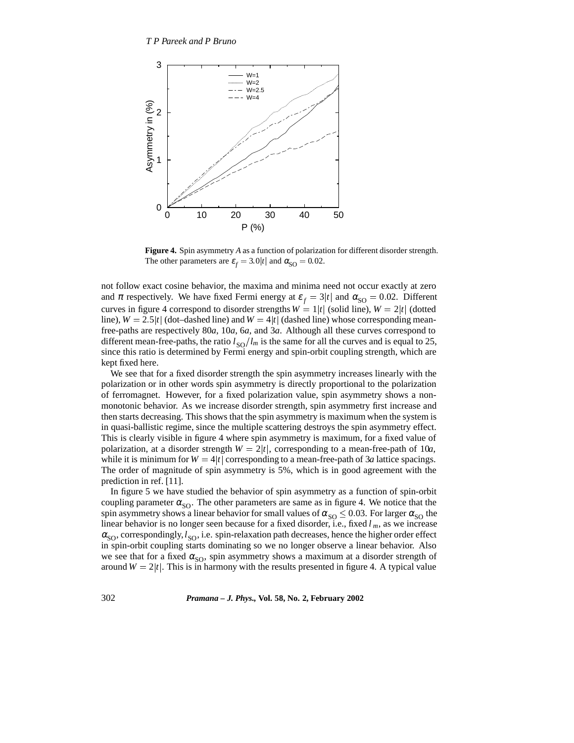

**Figure 4.** Spin asymmetry *A* as a function of polarization for different disorder strength. The other parameters are  $\varepsilon_f = 3.0|t|$  and  $\alpha_{SO} = 0.02$ .

not follow exact cosine behavior, the maxima and minima need not occur exactly at zero and  $\pi$  respectively. We have fixed Fermi energy at  $\varepsilon_f = 3|t|$  and  $\alpha_{\text{SO}} = 0.02$ . Different curves in figure 4 correspond to disorder strengths  $W = 1|t|$  (solid line),  $W = 2|t|$  (dotted line),  $W = 2.5|t|$  (dot–dashed line) and  $W = 4|t|$  (dashed line) whose corresponding meanfree-paths are respectively 80*a*, 10*a*, 6*a*, and 3*a*. Although all these curves correspond to different mean-free-paths, the ratio  $l_{\text{SO}}/l_m$  is the same for all the curves and is equal to 25, since this ratio is determined by Fermi energy and spin-orbit coupling strength, which are kept fixed here.

We see that for a fixed disorder strength the spin asymmetry increases linearly with the polarization or in other words spin asymmetry is directly proportional to the polarization of ferromagnet. However, for a fixed polarization value, spin asymmetry shows a nonmonotonic behavior. As we increase disorder strength, spin asymmetry first increase and then starts decreasing. This shows that the spin asymmetry is maximum when the system is in quasi-ballistic regime, since the multiple scattering destroys the spin asymmetry effect. This is clearly visible in figure 4 where spin asymmetry is maximum, for a fixed value of polarization, at a disorder strength  $W = 2|t|$ , corresponding to a mean-free-path of 10*a*, while it is minimum for  $W = 4|t|$  corresponding to a mean-free-path of 3*a* lattice spacings. The order of magnitude of spin asymmetry is 5%, which is in good agreement with the prediction in ref. [11].

In figure 5 we have studied the behavior of spin asymmetry as a function of spin-orbit coupling parameter  $\alpha_{SO}$ . The other parameters are same as in figure 4. We notice that the spin asymmetry shows a linear behavior for small values of  $\alpha_{SO} \le 0.03$ . For larger  $\alpha_{SO}$  the linear behavior is no longer seen because for a fixed disorder, i.e., fixed *l <sup>m</sup>*, as we increase  $\alpha_{\rm SO}$ , correspondingly,  $l_{\rm SO}$ , i.e. spin-relaxation path decreases, hence the higher order effect in spin-orbit coupling starts dominating so we no longer observe a linear behavior. Also we see that for a fixed  $\alpha_{SO}$ , spin asymmetry shows a maximum at a disorder strength of around  $W = 2|t|$ . This is in harmony with the results presented in figure 4. A typical value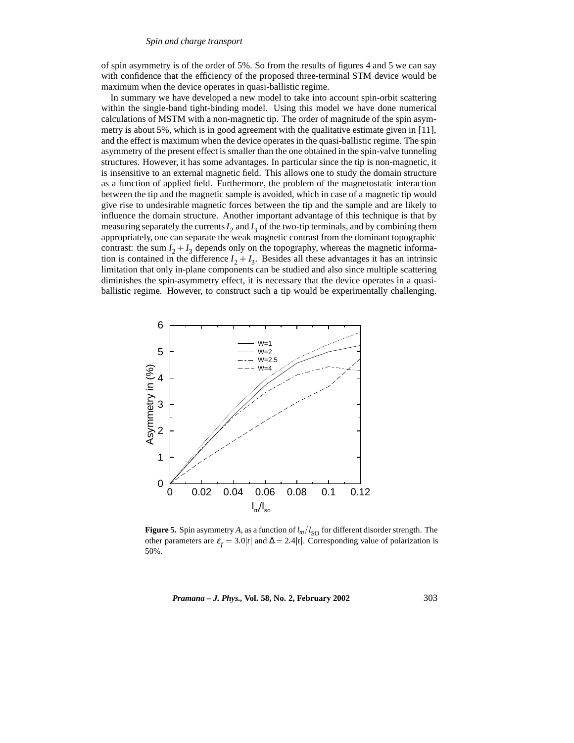of spin asymmetry is of the order of 5%. So from the results of figures 4 and 5 we can say with confidence that the efficiency of the proposed three-terminal STM device would be maximum when the device operates in quasi-ballistic regime.

In summary we have developed a new model to take into account spin-orbit scattering within the single-band tight-binding model. Using this model we have done numerical calculations of MSTM with a non-magnetic tip. The order of magnitude of the spin asymmetry is about 5%, which is in good agreement with the qualitative estimate given in [11], and the effect is maximum when the device operates in the quasi-ballistic regime. The spin asymmetry of the present effect is smaller than the one obtained in the spin-valve tunneling structures. However, it has some advantages. In particular since the tip is non-magnetic, it is insensitive to an external magnetic field. This allows one to study the domain structure as a function of applied field. Furthermore, the problem of the magnetostatic interaction between the tip and the magnetic sample is avoided, which in case of a magnetic tip would give rise to undesirable magnetic forces between the tip and the sample and are likely to influence the domain structure. Another important advantage of this technique is that by measuring separately the currents  $I_2$  and  $I_3$  of the two-tip terminals, and by combining them appropriately, one can separate the weak magnetic contrast from the dominant topographic contrast: the sum  $I_2 + I_3$  depends only on the topography, whereas the magnetic information is contained in the difference  $I_2 + I_3$ . Besides all these advantages it has an intrinsic limitation that only in-plane components can be studied and also since multiple scattering diminishes the spin-asymmetry effect, it is necessary that the device operates in a quasiballistic regime. However, to construct such a tip would be experimentally challenging.



**Figure 5.** Spin asymmetry *A*, as a function of  $l_m/l_{\rm SO}$  for different disorder strength. The other parameters are  $\varepsilon_f = 3.0|t|$  and  $\Delta = 2.4|t|$ . Corresponding value of polarization is 50%.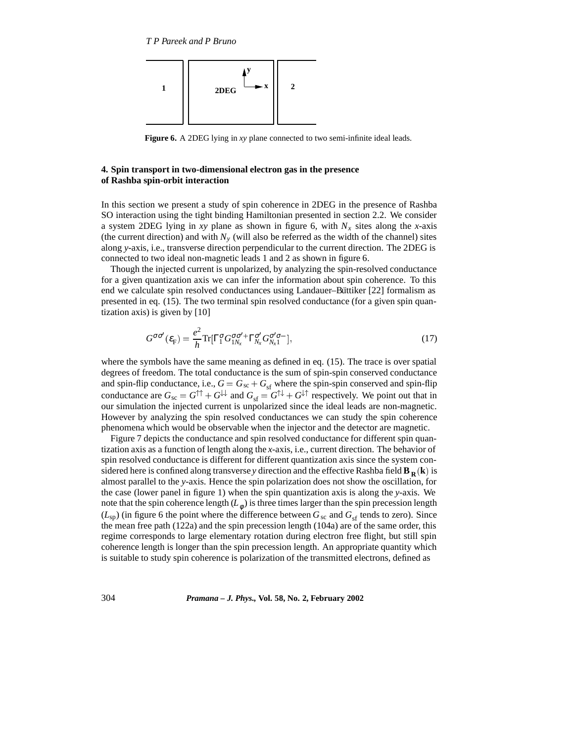

**Figure 6.** A 2DEG lying in *xy* plane connected to two semi-infinite ideal leads.

## **4. Spin transport in two-dimensional electron gas in the presence of Rashba spin-orbit interaction**

In this section we present a study of spin coherence in 2DEG in the presence of Rashba SO interaction using the tight binding Hamiltonian presented in section 2.2. We consider a system 2DEG lying in  $xy$  plane as shown in figure 6, with  $N_x$  sites along the *x*-axis (the current direction) and with  $N_y$  (will also be referred as the width of the channel) sites along *y*-axis, i.e., transverse direction perpendicular to the current direction. The 2DEG is connected to two ideal non-magnetic leads 1 and 2 as shown in figure 6.

Though the injected current is unpolarized, by analyzing the spin-resolved conductance for a given quantization axis we can infer the information about spin coherence. To this end we calculate spin resolved conductances using Landauer–Büttiker [22] formalism as presented in eq. (15). The two terminal spin resolved conductance (for a given spin quantization axis) is given by [10]

$$
G^{\sigma\sigma'}(\varepsilon_{\mathcal{F}}) = \frac{e^2}{h} \text{Tr}[\Gamma_1^{\sigma} G_{1N_x}^{\sigma\sigma'} + \Gamma_{N_x}^{\sigma'} G_{N_x 1}^{\sigma'\sigma-}], \qquad (17)
$$

where the symbols have the same meaning as defined in eq. (15). The trace is over spatial degrees of freedom. The total conductance is the sum of spin-spin conserved conductance and spin-flip conductance, i.e.,  $G = G_{sc} + G_{sf}$  where the spin-spin conserved and spin-flip conductance are  $G_{sc} = G^{\uparrow\uparrow} + G^{\downarrow\downarrow}$  and  $G_{sf} = G^{\uparrow\downarrow} + G^{\downarrow\uparrow}$  respectively. We point out that in our simulation the injected current is unpolarized since the ideal leads are non-magnetic. However by analyzing the spin resolved conductances we can study the spin coherence phenomena which would be observable when the injector and the detector are magnetic.

Figure 7 depicts the conductance and spin resolved conductance for different spin quantization axis as a function of length along the *x*-axis, i.e., current direction. The behavior of spin resolved conductance is different for different quantization axis since the system considered here is confined along transverse *y* direction and the effective Rashba field  $\mathbf{B}_R(\mathbf{k})$  is almost parallel to the *y*-axis. Hence the spin polarization does not show the oscillation, for the case (lower panel in figure 1) when the spin quantization axis is along the *y*-axis. We note that the spin coherence length  $(L_{\phi})$  is three times larger than the spin precession length  $(L_{sp})$  (in figure 6 the point where the difference between  $G_{sc}$  and  $G_{sf}$  tends to zero). Since the mean free path (122a) and the spin precession length (104a) are of the same order, this regime corresponds to large elementary rotation during electron free flight, but still spin coherence length is longer than the spin precession length. An appropriate quantity which is suitable to study spin coherence is polarization of the transmitted electrons, defined as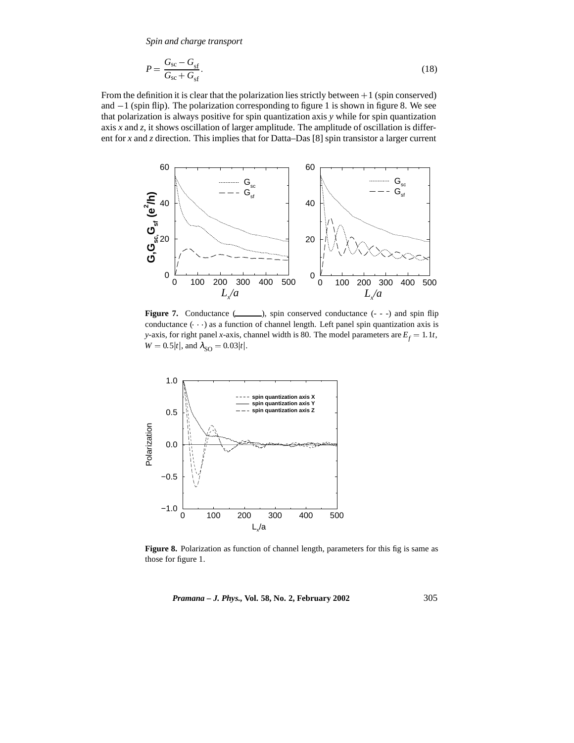$$
P = \frac{G_{\rm sc} - G_{\rm sf}}{G_{\rm sc} + G_{\rm sf}}.\tag{18}
$$

From the definition it is clear that the polarization lies strictly between  $+1$  (spin conserved) and  $-1$  (spin flip). The polarization corresponding to figure 1 is shown in figure 8. We see that polarization is always positive for spin quantization axis *y* while for spin quantization axis *x* and *z*, it shows oscillation of larger amplitude. The amplitude of oscillation is different for *x* and *z* direction. This implies that for Datta–Das [8] spin transistor a larger current



Figure 7. Conductance ( $\qquad$ ), spin conserved conductance (- - -) and spin flip conductance  $(\cdot \cdot)$  as a function of channel length. Left panel spin quantization axis is *y*-axis, for right panel *x*-axis, channel width is 80. The model parameters are  $E_f = 1.1t$ ,  $W = 0.5|t|$ , and  $\lambda_{SO} = 0.03|t|$ .



**Figure 8.** Polarization as function of channel length, parameters for this fig is same as those for figure 1.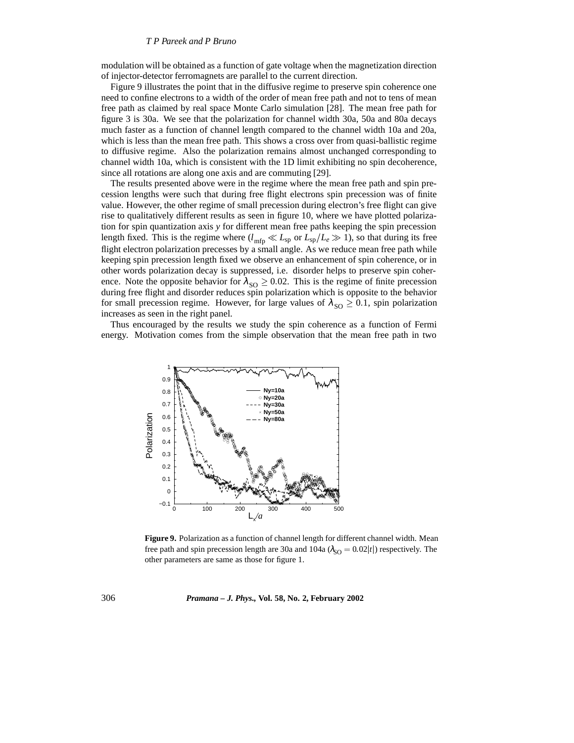modulation will be obtained as a function of gate voltage when the magnetization direction of injector-detector ferromagnets are parallel to the current direction.

Figure 9 illustrates the point that in the diffusive regime to preserve spin coherence one need to confine electrons to a width of the order of mean free path and not to tens of mean free path as claimed by real space Monte Carlo simulation [28]. The mean free path for figure 3 is 30a. We see that the polarization for channel width 30a, 50a and 80a decays much faster as a function of channel length compared to the channel width 10a and 20a, which is less than the mean free path. This shows a cross over from quasi-ballistic regime to diffusive regime. Also the polarization remains almost unchanged corresponding to channel width 10a, which is consistent with the 1D limit exhibiting no spin decoherence, since all rotations are along one axis and are commuting [29].

The results presented above were in the regime where the mean free path and spin precession lengths were such that during free flight electrons spin precession was of finite value. However, the other regime of small precession during electron's free flight can give rise to qualitatively different results as seen in figure 10, where we have plotted polarization for spin quantization axis *y* for different mean free paths keeping the spin precession length fixed. This is the regime where  $(l_{\text{mfp}} \ll L_{\text{sp}})$  or  $L_{\text{sp}}/L_e \gg 1$ , so that during its free flight electron polarization precesses by a small angle. As we reduce mean free path while keeping spin precession length fixed we observe an enhancement of spin coherence, or in other words polarization decay is suppressed, i.e. disorder helps to preserve spin coherence. Note the opposite behavior for  $\lambda_{\text{SO}} \geq 0.02$ . This is the regime of finite precession during free flight and disorder reduces spin polarization which is opposite to the behavior for small precession regime. However, for large values of  $\lambda_{SO} \geq 0.1$ , spin polarization increases as seen in the right panel.

Thus encouraged by the results we study the spin coherence as a function of Fermi energy. Motivation comes from the simple observation that the mean free path in two



**Figure 9.** Polarization as a function of channel length for different channel width. Mean free path and spin precession length are 30a and 104a ( $\lambda_{SO} = 0.02|t|$ ) respectively. The other parameters are same as those for figure 1.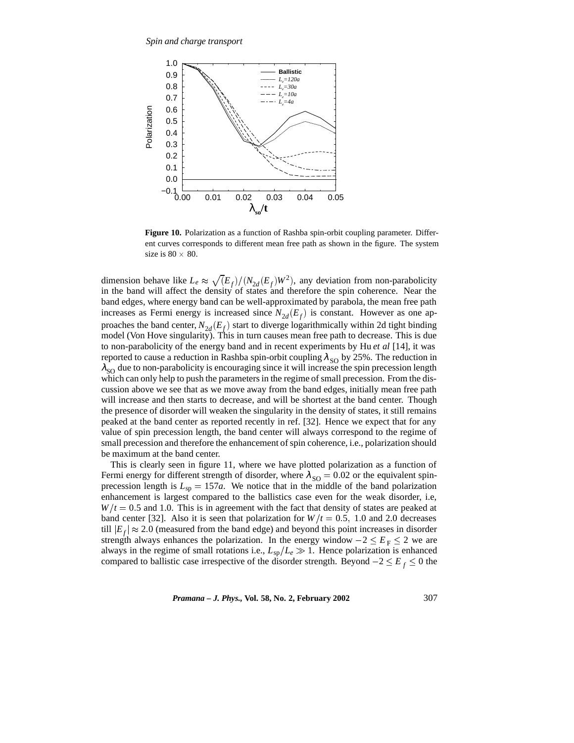

**Figure 10.** Polarization as a function of Rashba spin-orbit coupling parameter. Different curves corresponds to different mean free path as shown in the figure. The system size is  $80 \times 80$ .

dimension behave like  $L_e \approx \sqrt{(E_f)/(N_{2d}(E_f)W^2)}$ , any deviation from non-parabolicity in the band will affect the density of states and therefore the spin coherence. Near the band edges, where energy band can be well-approximated by parabola, the mean free path increases as Fermi energy is increased since  $N_{2d}(E_f)$  is constant. However as one approaches the band center,  $N_{2d}(E_f)$  start to diverge logarithmically within 2d tight binding model (Von Hove singularity). This in turn causes mean free path to decrease. This is due to non-parabolicity of the energy band and in recent experiments by Hu *et al* [14], it was reported to cause a reduction in Rashba spin-orbit coupling  $\lambda_{SO}$  by 25%. The reduction in  $\lambda_{\rm SO}$  due to non-parabolicity is encouraging since it will increase the spin precession length which can only help to push the parameters in the regime of small precession. From the discussion above we see that as we move away from the band edges, initially mean free path will increase and then starts to decrease, and will be shortest at the band center. Though the presence of disorder will weaken the singularity in the density of states, it still remains peaked at the band center as reported recently in ref. [32]. Hence we expect that for any value of spin precession length, the band center will always correspond to the regime of small precession and therefore the enhancement of spin coherence, i.e., polarization should be maximum at the band center.

This is clearly seen in figure 11, where we have plotted polarization as a function of Fermi energy for different strength of disorder, where  $\lambda_{SO} = 0.02$  or the equivalent spinprecession length is  $L_{sp} = 157a$ . We notice that in the middle of the band polarization enhancement is largest compared to the ballistics case even for the weak disorder, i.e,  $W/t = 0.5$  and 1.0. This is in agreement with the fact that density of states are peaked at band center [32]. Also it is seen that polarization for  $W/t = 0.5$ , 1.0 and 2.0 decreases till  $|E_f| \approx 2.0$  (measured from the band edge) and beyond this point increases in disorder strength always enhances the polarization. In the energy window  $-2 \leq E_F \leq 2$  we are always in the regime of small rotations i.e.,  $L_{sp}/L_e \gg 1$ . Hence polarization is enhanced compared to ballistic case irrespective of the disorder strength. Beyond  $-2 \leq E_f \leq 0$  the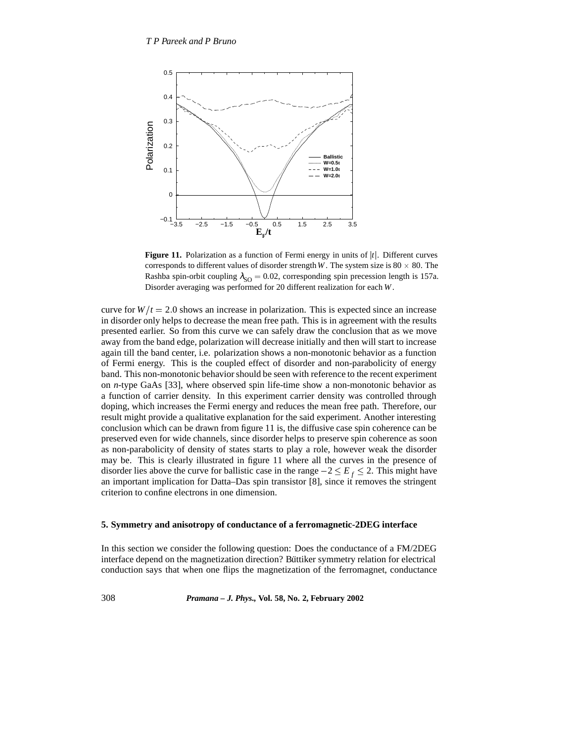

**Figure 11.** Polarization as a function of Fermi energy in units of |t|. Different curves corresponds to different values of disorder strength W. The system size is  $80 \times 80$ . The Rashba spin-orbit coupling  $\lambda_{SO} = 0.02$ , corresponding spin precession length is 157a. Disorder averaging was performed for 20 different realization for each *W*.

curve for  $W/t = 2.0$  shows an increase in polarization. This is expected since an increase in disorder only helps to decrease the mean free path. This is in agreement with the results presented earlier. So from this curve we can safely draw the conclusion that as we move away from the band edge, polarization will decrease initially and then will start to increase again till the band center, i.e. polarization shows a non-monotonic behavior as a function of Fermi energy. This is the coupled effect of disorder and non-parabolicity of energy band. This non-monotonic behavior should be seen with reference to the recent experiment on *n*-type GaAs [33], where observed spin life-time show a non-monotonic behavior as a function of carrier density. In this experiment carrier density was controlled through doping, which increases the Fermi energy and reduces the mean free path. Therefore, our result might provide a qualitative explanation for the said experiment. Another interesting conclusion which can be drawn from figure 11 is, the diffusive case spin coherence can be preserved even for wide channels, since disorder helps to preserve spin coherence as soon as non-parabolicity of density of states starts to play a role, however weak the disorder may be. This is clearly illustrated in figure 11 where all the curves in the presence of disorder lies above the curve for ballistic case in the range  $-2 \leq E_f \leq 2$ . This might have an important implication for Datta–Das spin transistor [8], since it removes the stringent criterion to confine electrons in one dimension.

### **5. Symmetry and anisotropy of conductance of a ferromagnetic-2DEG interface**

In this section we consider the following question: Does the conductance of a FM/2DEG interface depend on the magnetization direction? Büttiker symmetry relation for electrical conduction says that when one flips the magnetization of the ferromagnet, conductance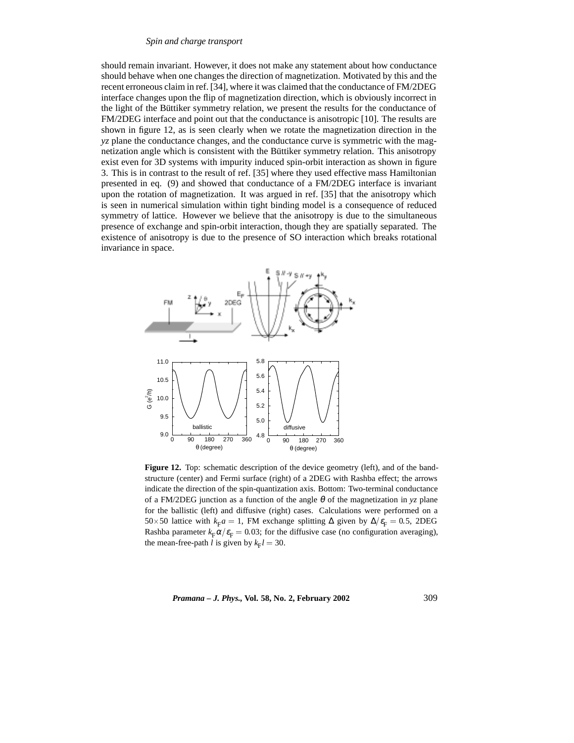should remain invariant. However, it does not make any statement about how conductance should behave when one changes the direction of magnetization. Motivated by this and the recent erroneous claim in ref. [34], where it was claimed that the conductance of FM/2DEG interface changes upon the flip of magnetization direction, which is obviously incorrect in the light of the Büttiker symmetry relation, we present the results for the conductance of FM/2DEG interface and point out that the conductance is anisotropic [10]. The results are shown in figure 12, as is seen clearly when we rotate the magnetization direction in the *yz* plane the conductance changes, and the conductance curve is symmetric with the magnetization angle which is consistent with the Büttiker symmetry relation. This anisotropy exist even for 3D systems with impurity induced spin-orbit interaction as shown in figure 3. This is in contrast to the result of ref. [35] where they used effective mass Hamiltonian presented in eq. (9) and showed that conductance of a FM/2DEG interface is invariant upon the rotation of magnetization. It was argued in ref. [35] that the anisotropy which is seen in numerical simulation within tight binding model is a consequence of reduced symmetry of lattice. However we believe that the anisotropy is due to the simultaneous presence of exchange and spin-orbit interaction, though they are spatially separated. The existence of anisotropy is due to the presence of SO interaction which breaks rotational invariance in space.



**Figure 12.** Top: schematic description of the device geometry (left), and of the bandstructure (center) and Fermi surface (right) of a 2DEG with Rashba effect; the arrows indicate the direction of the spin-quantization axis. Bottom: Two-terminal conductance of a FM/2DEG junction as a function of the angle  $\theta$  of the magnetization in *yz* plane for the ballistic (left) and diffusive (right) cases. Calculations were performed on a 50×50 lattice with  $k_{\text{F}}a = 1$ , FM exchange splitting  $\Delta$  given by  $\Delta/\varepsilon_{\text{F}} = 0.5$ , 2DEG Rashba parameter  $k_F \alpha/\varepsilon_F = 0.03$ ; for the diffusive case (no configuration averaging), the mean-free-path *l* is given by  $k_E l = 30$ .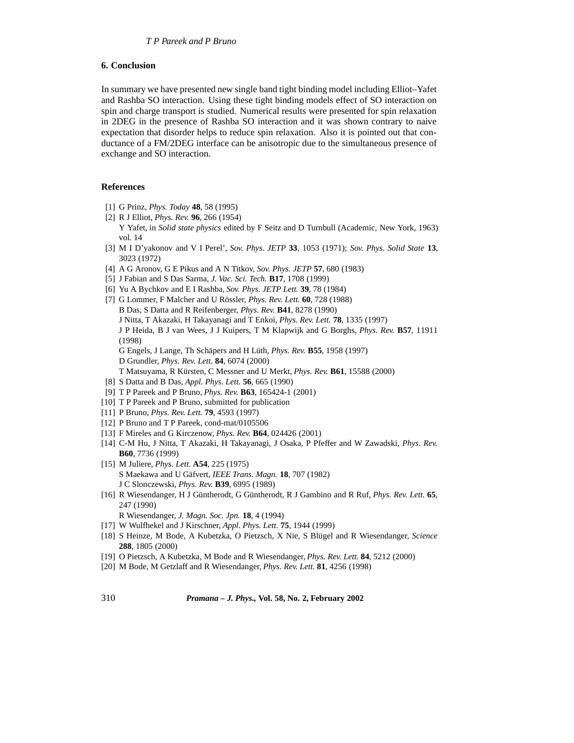## **6. Conclusion**

In summary we have presented new single band tight binding model including Elliot–Yafet and Rashba SO interaction. Using these tight binding models effect of SO interaction on spin and charge transport is studied. Numerical results were presented for spin relaxation in 2DEG in the presence of Rashba SO interaction and it was shown contrary to naive expectation that disorder helps to reduce spin relaxation. Also it is pointed out that conductance of a FM/2DEG interface can be anisotropic due to the simultaneous presence of exchange and SO interaction.

## **References**

- [1] G Prinz, *Phys. Today* **48**, 58 (1995)
- [2] R J Elliot, *Phys. Rev.* **96**, 266 (1954)
- Y Yafet, in *Solid state physics* edited by F Seitz and D Turnbull (Academic, New York, 1963) vol. 14
- [3] M I D'yakonov and V I Perel', *Sov. Phys. JETP* **33**, 1053 (1971); *Sov. Phys. Solid State* **13**, 3023 (1972)
- [4] A G Aronov, G E Pikus and A N Titkov, *Sov. Phys. JETP* **57**, 680 (1983)
- [5] J Fabian and S Das Sarma, *J. Vac. Sci. Tech.* **B17**, 1708 (1999)
- [6] Yu A Bychkov and E I Rashba, *Sov. Phys. JETP Lett.* **39**, 78 (1984)
- [7] G Lommer, F Malcher and U Rössler, *Phys. Rev. Lett.* **60**, 728 (1988) B Das, S Datta and R Reifenberger, *Phys. Rev.* **B41**, 8278 (1990) J Nitta, T Akazaki, H Takayanagi and T Enkoi, *Phys. Rev. Lett.* **78**, 1335 (1997) J P Heida, B J van Wees, J J Kuipers, T M Klapwijk and G Borghs, *Phys. Rev.* **B57**, 11911 (1998) G Engels, J Lange, Th Sch¨apers and H L¨uth, *Phys. Rev.* **B55**, 1958 (1997) D Grundler, *Phys. Rev. Lett.* **84**, 6074 (2000) T Matsuyama, R Kürsten, C Messner and U Merkt, *Phys. Rev.* **B61**, 15588 (2000)
- [8] S Datta and B Das, *Appl. Phys. Lett.* **56**, 665 (1990)
- [9] T P Pareek and P Bruno, *Phys. Rev.* **B63**, 165424-1 (2001)
- [10] T P Pareek and P Bruno, submitted for publication
- [11] P Bruno, *Phys. Rev. Lett.* **79**, 4593 (1997)
- [12] P Bruno and T P Pareek, cond-mat/0105506
- [13] F Mireles and G Kirczenow, *Phys. Rev.* **B64**, 024426 (2001)
- [14] C-M Hu, J Nitta, T Akazaki, H Takayanagi, J Osaka, P Pfeffer and W Zawadski, *Phys. Rev.* **B60**, 7736 (1999)
- [15] M Juliere, *Phys. Lett.* **A54**, 225 (1975) S Maekawa and U Gäfvert, *IEEE Trans. Magn.* **18**, 707 (1982) J C Slonczewski, *Phys. Rev.* **B39**, 6995 (1989)
- [16] R Wiesendanger, H J Güntherodt, G Güntherodt, R J Gambino and R Ruf, *Phys. Rev. Lett.* 65, 247 (1990)
	- R Wiesendanger, *J. Magn. Soc. Jpn.* **18**, 4 (1994)
- [17] W Wulfhekel and J Kirschner, *Appl. Phys. Lett.* **75**, 1944 (1999)
- [18] S Heinze, M Bode, A Kubetzka, O Pietzsch, X Nie, S Blügel and R Wiesendanger, *Science* **288**, 1805 (2000)
- [19] O Pietzsch, A Kubetzka, M Bode and R Wiesendanger, *Phys. Rev. Lett.* **84**, 5212 (2000)
- [20] M Bode, M Getzlaff and R Wiesendanger, *Phys. Rev. Lett.* **81**, 4256 (1998)